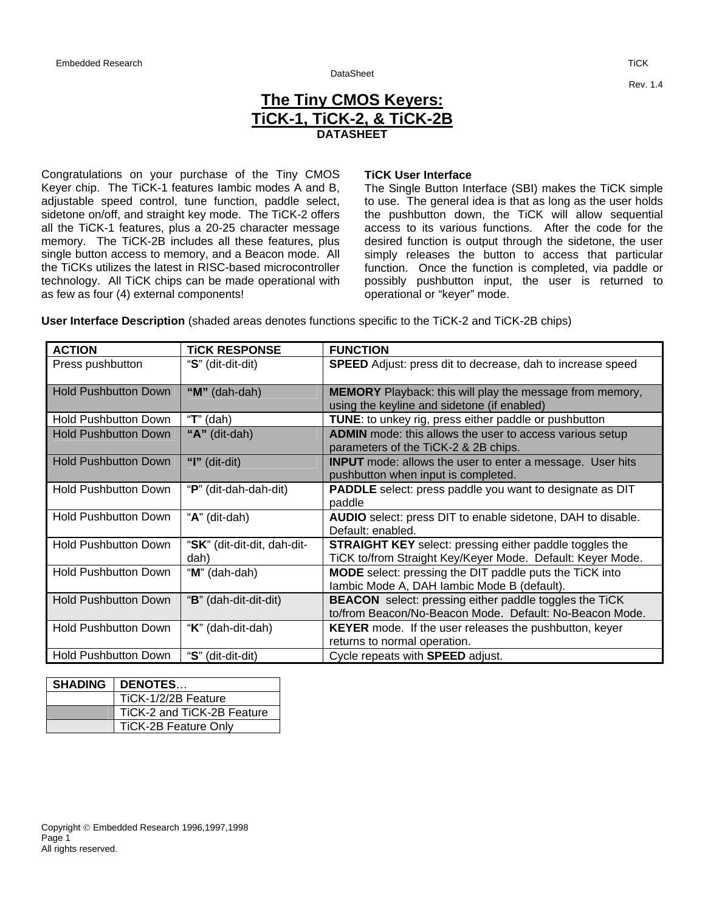## DataSheet

## **The Tiny CMOS Keyers: TiCK-1, TiCK-2, & TiCK-2B DATASHEET**

Congratulations on your purchase of the Tiny CMOS Keyer chip. The TiCK-1 features Iambic modes A and B, adjustable speed control, tune function, paddle select, sidetone on/off, and straight key mode. The TiCK-2 offers all the TiCK-1 features, plus a 20-25 character message memory. The TiCK-2B includes all these features, plus single button access to memory, and a Beacon mode. All the TiCKs utilizes the latest in RISC-based microcontroller technology. All TiCK chips can be made operational with as few as four (4) external components!

## **TiCK User Interface**

The Single Button Interface (SBI) makes the TiCK simple to use. The general idea is that as long as the user holds the pushbutton down, the TiCK will allow sequential access to its various functions. After the code for the desired function is output through the sidetone, the user simply releases the button to access that particular function. Once the function is completed, via paddle or possibly pushbutton input, the user is returned to operational or "keyer" mode.

**User Interface Description** (shaded areas denotes functions specific to the TiCK-2 and TiCK-2B chips)

| <b>ACTION</b>               | <b>TICK RESPONSE</b>                | <b>FUNCTION</b>                                                                                                              |
|-----------------------------|-------------------------------------|------------------------------------------------------------------------------------------------------------------------------|
| Press pushbutton            | "S" (dit-dit-dit)                   | <b>SPEED</b> Adjust: press dit to decrease, dah to increase speed                                                            |
| <b>Hold Pushbutton Down</b> | " $M$ " (dah-dah)                   | <b>MEMORY</b> Playback: this will play the message from memory,<br>using the keyline and sidetone (if enabled)               |
| <b>Hold Pushbutton Down</b> | " $T$ " (dah)                       | <b>TUNE:</b> to unkey rig, press either paddle or pushbutton                                                                 |
| <b>Hold Pushbutton Down</b> | " $A$ " (dit-dah)                   | <b>ADMIN</b> mode: this allows the user to access various setup<br>parameters of the TiCK-2 & 2B chips.                      |
| <b>Hold Pushbutton Down</b> | "I" (dit-dit)                       | <b>INPUT</b> mode: allows the user to enter a message. User hits<br>pushbutton when input is completed.                      |
| <b>Hold Pushbutton Down</b> | "P" (dit-dah-dah-dit)               | <b>PADDLE</b> select: press paddle you want to designate as DIT<br>paddle                                                    |
| <b>Hold Pushbutton Down</b> | "A" (dit-dah)                       | AUDIO select: press DIT to enable sidetone, DAH to disable.<br>Default: enabled.                                             |
| <b>Hold Pushbutton Down</b> | "SK" (dit-dit-dit, dah-dit-<br>dah) | <b>STRAIGHT KEY</b> select: pressing either paddle toggles the<br>TiCK to/from Straight Key/Keyer Mode. Default: Keyer Mode. |
| <b>Hold Pushbutton Down</b> | "M" (dah-dah)                       | <b>MODE</b> select: pressing the DIT paddle puts the TiCK into<br>lambic Mode A, DAH lambic Mode B (default).                |
| <b>Hold Pushbutton Down</b> | "B" (dah-dit-dit-dit)               | <b>BEACON</b> select: pressing either paddle toggles the TiCK<br>to/from Beacon/No-Beacon Mode. Default: No-Beacon Mode.     |
| <b>Hold Pushbutton Down</b> | "K" (dah-dit-dah)                   | <b>KEYER</b> mode. If the user releases the pushbutton, keyer<br>returns to normal operation.                                |
| <b>Hold Pushbutton Down</b> | "S" (dit-dit-dit)                   | Cycle repeats with <b>SPEED</b> adjust.                                                                                      |

| <b>SHADING   DENOTES</b>    |
|-----------------------------|
| TiCK-1/2/2B Feature         |
| TiCK-2 and TiCK-2B Feature  |
| <b>TiCK-2B Feature Only</b> |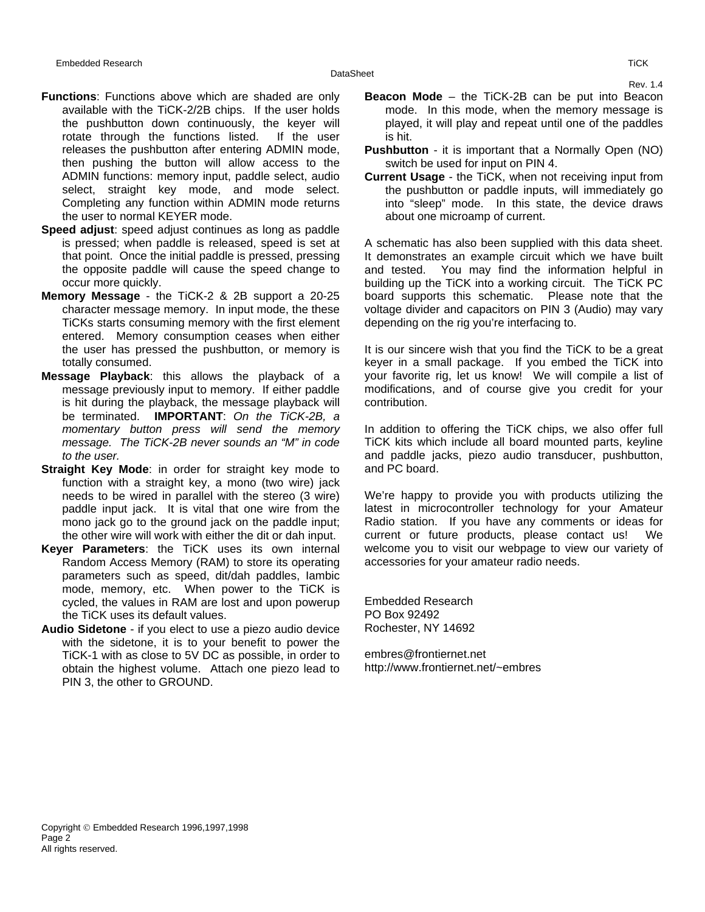- **Functions**: Functions above which are shaded are only available with the TiCK-2/2B chips. If the user holds the pushbutton down continuously, the keyer will rotate through the functions listed. If the user releases the pushbutton after entering ADMIN mode, then pushing the button will allow access to the ADMIN functions: memory input, paddle select, audio select, straight key mode, and mode select. Completing any function within ADMIN mode returns the user to normal KEYER mode.
- **Speed adjust**: speed adjust continues as long as paddle is pressed; when paddle is released, speed is set at that point. Once the initial paddle is pressed, pressing the opposite paddle will cause the speed change to occur more quickly.
- **Memory Message** the TiCK-2 & 2B support a 20-25 character message memory. In input mode, the these TiCKs starts consuming memory with the first element entered. Memory consumption ceases when either the user has pressed the pushbutton, or memory is totally consumed.
- **Message Playback**: this allows the playback of a message previously input to memory. If either paddle is hit during the playback, the message playback will be terminated. **IMPORTANT**: *On the TiCK-2B, a momentary button press will send the memory message. The TiCK-2B never sounds an "M" in code to the user.*
- **Straight Key Mode:** in order for straight key mode to function with a straight key, a mono (two wire) jack needs to be wired in parallel with the stereo (3 wire) paddle input jack. It is vital that one wire from the mono jack go to the ground jack on the paddle input; the other wire will work with either the dit or dah input.
- **Keyer Parameters**: the TiCK uses its own internal Random Access Memory (RAM) to store its operating parameters such as speed, dit/dah paddles, Iambic mode, memory, etc. When power to the TiCK is cycled, the values in RAM are lost and upon powerup the TiCK uses its default values.
- **Audio Sidetone** if you elect to use a piezo audio device with the sidetone, it is to your benefit to power the TiCK-1 with as close to 5V DC as possible, in order to obtain the highest volume. Attach one piezo lead to PIN 3, the other to GROUND.
- **Beacon Mode** the TiCK-2B can be put into Beacon mode. In this mode, when the memory message is played, it will play and repeat until one of the paddles is hit.
- **Pushbutton** it is important that a Normally Open (NO) switch be used for input on PIN 4.
- **Current Usage** the TiCK, when not receiving input from the pushbutton or paddle inputs, will immediately go into "sleep" mode. In this state, the device draws about one microamp of current.

A schematic has also been supplied with this data sheet. It demonstrates an example circuit which we have built and tested. You may find the information helpful in building up the TiCK into a working circuit. The TiCK PC board supports this schematic. Please note that the voltage divider and capacitors on PIN 3 (Audio) may vary depending on the rig you're interfacing to.

It is our sincere wish that you find the TiCK to be a great keyer in a small package. If you embed the TiCK into your favorite rig, let us know! We will compile a list of modifications, and of course give you credit for your contribution.

In addition to offering the TiCK chips, we also offer full TiCK kits which include all board mounted parts, keyline and paddle jacks, piezo audio transducer, pushbutton, and PC board.

We're happy to provide you with products utilizing the latest in microcontroller technology for your Amateur Radio station. If you have any comments or ideas for current or future products, please contact us! We welcome you to visit our webpage to view our variety of accessories for your amateur radio needs.

Embedded Research PO Box 92492 Rochester, NY 14692

embres@frontiernet.net http://www.frontiernet.net/~embres Rev. 1.4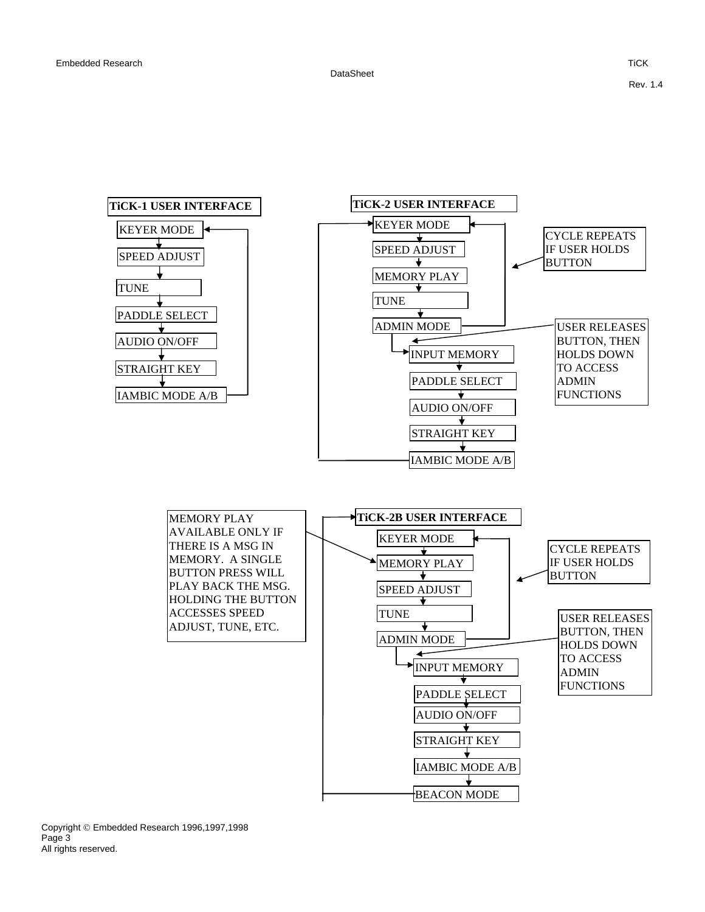